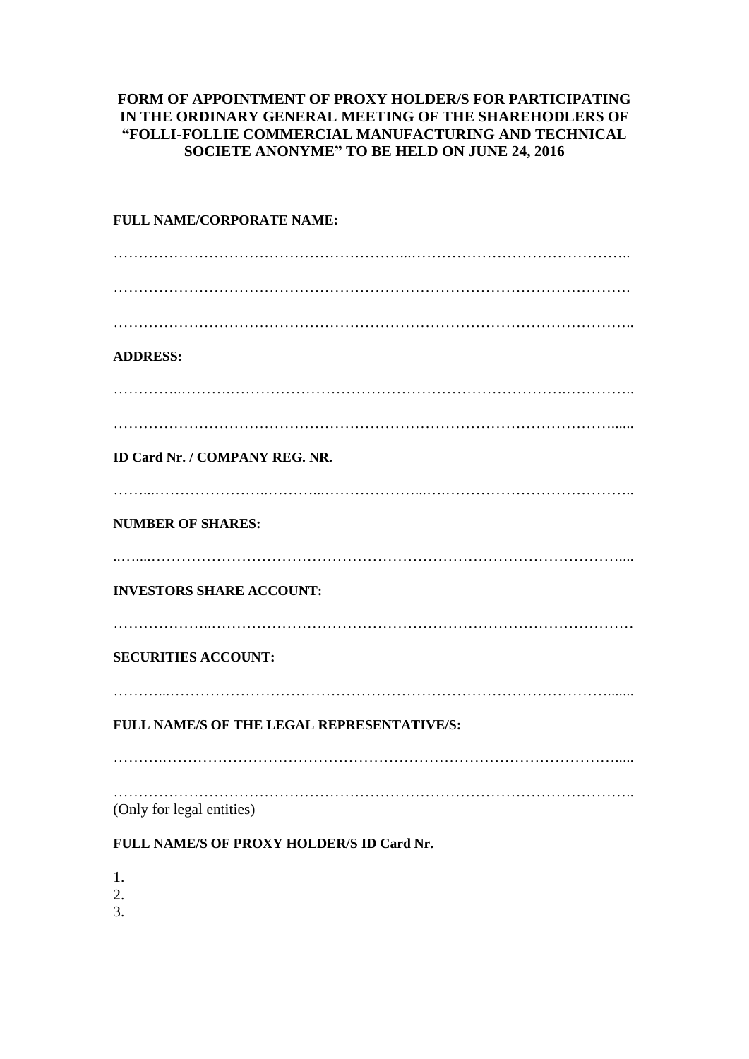## **FORM OF APPOINTMENT OF PROXY HOLDER/S FOR PARTICIPATING IN THE ORDINARY GENERAL MEETING OF THE SHAREHODLERS OF "FOLLI-FOLLIE COMMERCIAL MANUFACTURING AND TECHNICAL SOCIETE ANONYME" TO BE HELD ON JUNE 24, 2016**

| FULL NAME/CORPORATE NAME:                  |
|--------------------------------------------|
|                                            |
|                                            |
|                                            |
| <b>ADDRESS:</b>                            |
|                                            |
|                                            |
| <b>ID Card Nr. / COMPANY REG. NR.</b>      |
| <b>NUMBER OF SHARES:</b>                   |
|                                            |
| <b>INVESTORS SHARE ACCOUNT:</b>            |
| <b>SECURITIES ACCOUNT:</b>                 |
| FULL NAME/S OF THE LEGAL REPRESENTATIVE/S: |
|                                            |
| (Only for legal entities)                  |
| FULL NAME/S OF PROXY HOLDER/S ID Card Nr.  |
| 1.                                         |

- 2.
- 3.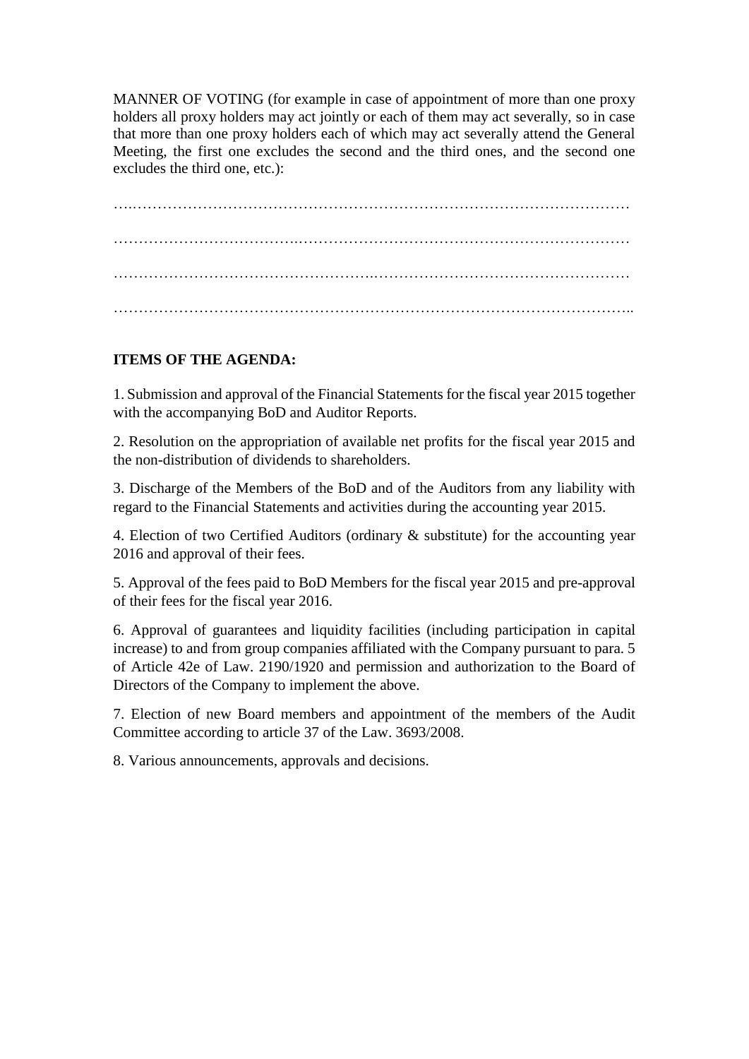MANNER OF VOTING (for example in case of appointment of more than one proxy holders all proxy holders may act jointly or each of them may act severally, so in case that more than one proxy holders each of which may act severally attend the General Meeting, the first one excludes the second and the third ones, and the second one excludes the third one, etc.):

……………………………….………………………………………………………… …………………………………………………………………………………………..

## **ITEMS OF THE AGENDA:**

1. Submission and approval of the Financial Statements for the fiscal year 2015 together with the accompanying BoD and Auditor Reports.

2. Resolution on the appropriation of available net profits for the fiscal year 2015 and the non-distribution of dividends to shareholders.

3. Discharge of the Members of the BoD and of the Auditors from any liability with regard to the Financial Statements and activities during the accounting year 2015.

4. Election of two Certified Auditors (ordinary & substitute) for the accounting year 2016 and approval of their fees.

5. Approval of the fees paid to BoD Members for the fiscal year 2015 and pre-approval of their fees for the fiscal year 2016.

6. Approval of guarantees and liquidity facilities (including participation in capital increase) to and from group companies affiliated with the Company pursuant to para. 5 of Article 42e of Law. 2190/1920 and permission and authorization to the Board of Directors of the Company to implement the above.

7. Election of new Board members and appointment of the members of the Audit Committee according to article 37 of the Law. 3693/2008.

8. Various announcements, approvals and decisions.